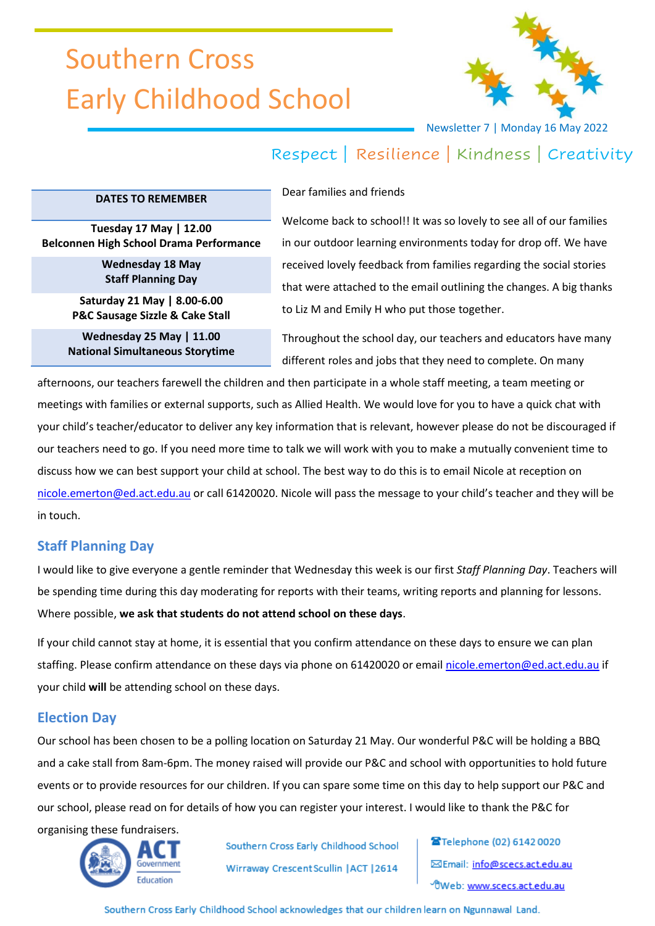# Southern Cross Early Childhood School



Newsletter 7 | Monday 16 May 2022

## Respect | Resilience | Kindness | Creativity

#### **DATES TO REMEMBER**

Dear families and friends

**Tuesday 17 May | 12.00 Belconnen High School Drama Performance**

> **Wednesday 18 May Staff Planning Day**

**Saturday 21 May | 8.00-6.00 P&C Sausage Sizzle & Cake Stall**

**Wednesday 25 May | 11.00 National Simultaneous Storytime** Welcome back to school!! It was so lovely to see all of our families in our outdoor learning environments today for drop off. We have received lovely feedback from families regarding the social stories that were attached to the email outlining the changes. A big thanks to Liz M and Emily H who put those together.

Throughout the school day, our teachers and educators have many different roles and jobs that they need to complete. On many

afternoons, our teachers farewell the children and then participate in a whole staff meeting, a team meeting or meetings with families or external supports, such as Allied Health. We would love for you to have a quick chat with your child's teacher/educator to deliver any key information that is relevant, however please do not be discouraged if our teachers need to go. If you need more time to talk we will work with you to make a mutually convenient time to discuss how we can best support your child at school. The best way to do this is to email Nicole at reception on [nicole.emerton@ed.act.edu.au](mailto:nicole.emerton@ed.act.edu.au) or call 61420020. Nicole will pass the message to your child's teacher and they will be in touch.

### **Staff Planning Day**

I would like to give everyone a gentle reminder that Wednesday this week is our first *Staff Planning Day*. Teachers will be spending time during this day moderating for reports with their teams, writing reports and planning for lessons. Where possible, **we ask that students do not attend school on these days**.

If your child cannot stay at home, it is essential that you confirm attendance on these days to ensure we can plan staffing. Please confirm attendance on these days via phone on 61420020 or email [nicole.emerton@ed.act.edu.au](mailto:nicole.emerton@ed.act.edu.au) if your child **will** be attending school on these days.

### **Election Day**

Our school has been chosen to be a polling location on Saturday 21 May. Our wonderful P&C will be holding a BBQ and a cake stall from 8am-6pm. The money raised will provide our P&C and school with opportunities to hold future events or to provide resources for our children. If you can spare some time on this day to help support our P&C and our school, please read on for details of how you can register your interest. I would like to thank the P&C for

organising these fundraisers.



Southern Cross Early Childhood School Wirraway Crescent Scullin | ACT | 2614

Telephone (02) 6142 0020 ⊠Email: info@scecs.act.edu.au OWeb: www.scecs.act.edu.au

Southern Cross Early Childhood School acknowledges that our children learn on Ngunnawal Land.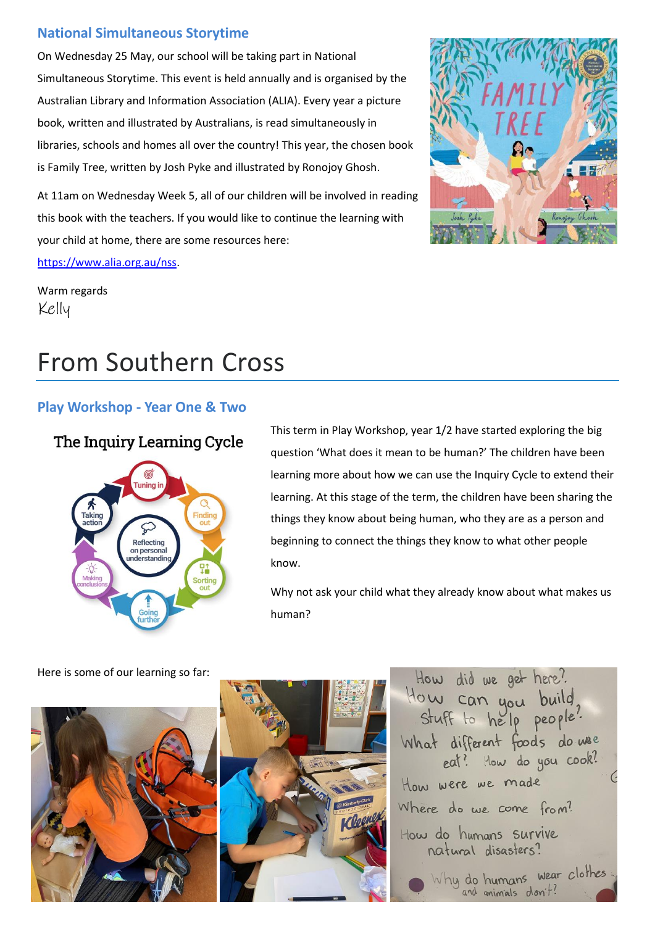## **National Simultaneous Storytime**

On Wednesday 25 May, our school will be taking part in National Simultaneous Storytime. This event is held annually and is organised by the Australian Library and Information Association (ALIA). Every year a picture book, written and illustrated by Australians, is read simultaneously in libraries, schools and homes all over the country! This year, the chosen book is Family Tree, written by Josh Pyke and illustrated by Ronojoy Ghosh.

At 11am on Wednesday Week 5, all of our children will be involved in reading this book with the teachers. If you would like to continue the learning with your child at home, there are some resources here: [https://www.alia.org.au/nss.](https://www.alia.org.au/nss)

Warm regards Kelly

## From Southern Cross

### **Play Workshop - Year One & Two**

## The Inquiry Learning Cycle



This term in Play Workshop, year 1/2 have started exploring the big question 'What does it mean to be human?' The children have been learning more about how we can use the Inquiry Cycle to extend their learning. At this stage of the term, the children have been sharing the things they know about being human, who they are as a person and beginning to connect the things they know to what other people know.

Why not ask your child what they already know about what makes us human?





Here is some of our learning so far: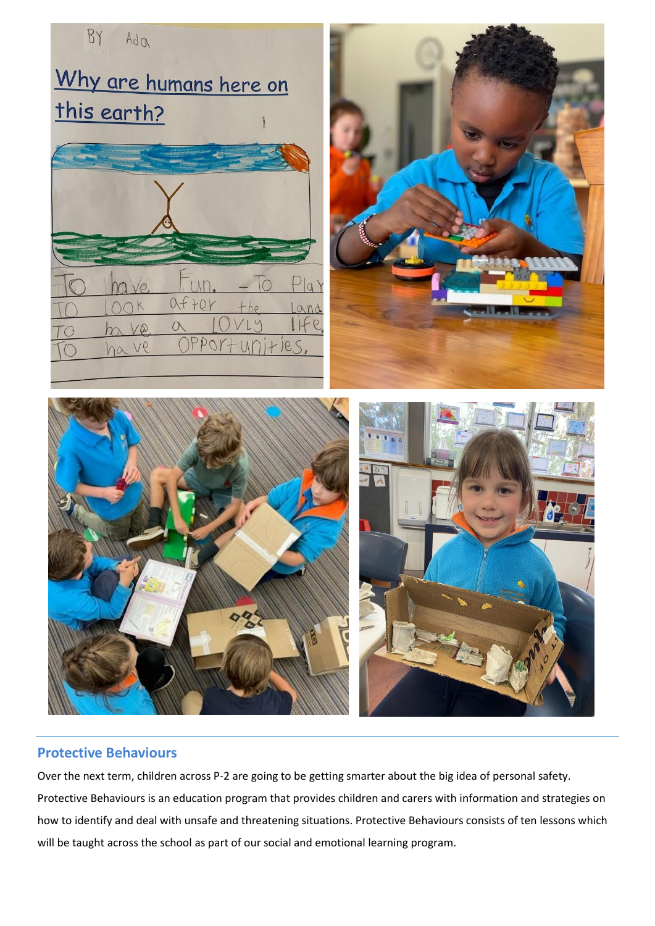

#### **Protective Behaviours**

Over the next term, children across P-2 are going to be getting smarter about the big idea of personal safety. Protective Behaviours is an education program that provides children and carers with information and strategies on how to identify and deal with unsafe and threatening situations. Protective Behaviours consists of ten lessons which will be taught across the school as part of our social and emotional learning program.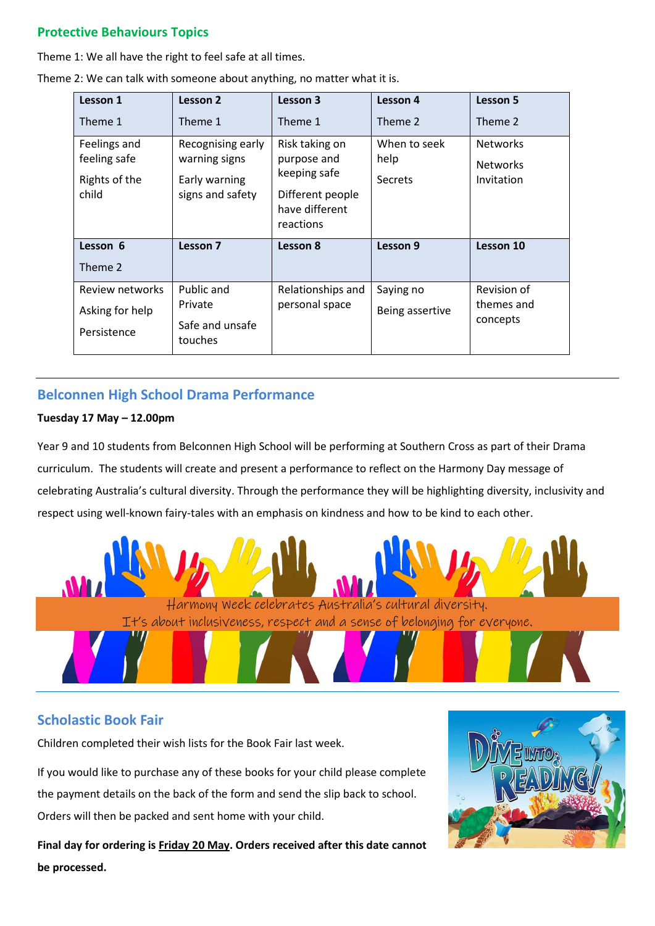### **Protective Behaviours Topics**

Theme 1: We all have the right to feel safe at all times.

| Lesson 1                                               | Lesson 2                                                                | Lesson 3                                                                                         | Lesson 4                               | Lesson 5                                         |
|--------------------------------------------------------|-------------------------------------------------------------------------|--------------------------------------------------------------------------------------------------|----------------------------------------|--------------------------------------------------|
| Theme 1                                                | Theme 1                                                                 | Theme 1                                                                                          | Theme 2                                | Theme 2                                          |
| Feelings and<br>feeling safe<br>Rights of the<br>child | Recognising early<br>warning signs<br>Early warning<br>signs and safety | Risk taking on<br>purpose and<br>keeping safe<br>Different people<br>have different<br>reactions | When to seek<br>help<br><b>Secrets</b> | <b>Networks</b><br><b>Networks</b><br>Invitation |
| Lesson 6<br>Theme 2                                    | Lesson 7                                                                | Lesson 8                                                                                         | Lesson 9                               | Lesson 10                                        |
| Review networks<br>Asking for help<br>Persistence      | Public and<br>Private<br>Safe and unsafe<br>touches                     | Relationships and<br>personal space                                                              | Saying no<br>Being assertive           | Revision of<br>themes and<br>concepts            |

Theme 2: We can talk with someone about anything, no matter what it is.

## **Belconnen High School Drama Performance**

#### **Tuesday 17 May – 12.00pm**

Year 9 and 10 students from Belconnen High School will be performing at Southern Cross as part of their Drama curriculum. The students will create and present a performance to reflect on the Harmony Day message of celebrating Australia's cultural diversity. Through the performance they will be highlighting diversity, inclusivity and respect using well-known fairy-tales with an emphasis on kindness and how to be kind to each other.



### **Scholastic Book Fair**

Children completed their wish lists for the Book Fair last week.

If you would like to purchase any of these books for your child please complete the payment details on the back of the form and send the slip back to school. Orders will then be packed and sent home with your child.

**Final day for ordering is Friday 20 May. Orders received after this date cannot be processed.**

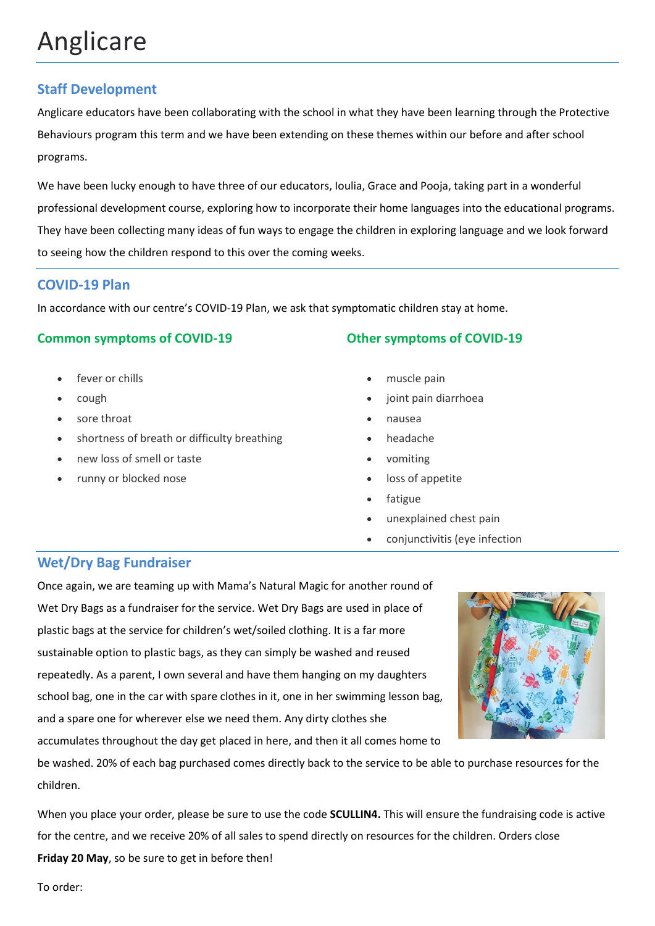## Anglicare

## **Staff Development**

Anglicare educators have been collaborating with the school in what they have been learning through the Protective Behaviours program this term and we have been extending on these themes within our before and after school programs.

We have been lucky enough to have three of our educators, Ioulia, Grace and Pooja, taking part in a wonderful professional development course, exploring how to incorporate their home languages into the educational programs. They have been collecting many ideas of fun ways to engage the children in exploring language and we look forward to seeing how the children respond to this over the coming weeks.

### **COVID-19 Plan**

In accordance with our centre's COVID-19 Plan, we ask that symptomatic children stay at home.

### **Common symptoms of COVID-19**

- fever or chills
- cough
- sore throat
- shortness of breath or difficulty breathing
- new loss of smell or taste
- runny or blocked nose

## **Other symptoms of COVID-19**

- muscle pain
- joint pain diarrhoea
- nausea
- headache
- vomiting
- loss of appetite
- fatigue
- unexplained chest pain
- conjunctivitis (eye infection

## **Wet/Dry Bag Fundraiser**

Once again, we are teaming up with Mama's Natural Magic for another round of Wet Dry Bags as a fundraiser for the service. Wet Dry Bags are used in place of plastic bags at the service for children's wet/soiled clothing. It is a far more sustainable option to plastic bags, as they can simply be washed and reused repeatedly. As a parent, I own several and have them hanging on my daughters school bag, one in the car with spare clothes in it, one in her swimming lesson bag, and a spare one for wherever else we need them. Any dirty clothes she accumulates throughout the day get placed in here, and then it all comes home to

be washed. 20% of each bag purchased comes directly back to the service to be able to purchase resources for the children.

When you place your order, please be sure to use the code **SCULLIN4.** This will ensure the fundraising code is active for the centre, and we receive 20% of all sales to spend directly on resources for the children. Orders close **Friday 20 May**, so be sure to get in before then!

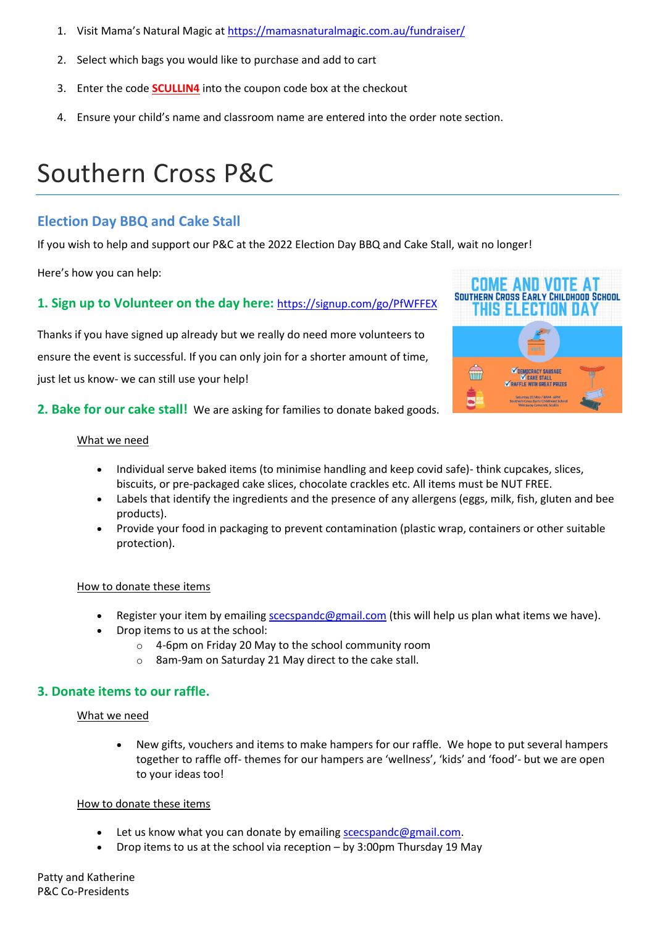- 1. Visit Mama's Natural Magic at [https://mamasnaturalmagic.com.au/fundraiser/](https://aus01.safelinks.protection.outlook.com/?url=https%3A%2F%2Fmamasnaturalmagic.com.au%2Ffundraiser%2F&data=05%7C01%7C%7Cfa528f7990634428811e08da2bdb5c96%7Cf1d4a8326c2144759bf48cc7e9044a29%7C0%7C0%7C637870519158631371%7CUnknown%7CTWFpbGZsb3d8eyJWIjoiMC4wLjAwMDAiLCJQIjoiV2luMzIiLCJBTiI6Ik1haWwiLCJXVCI6Mn0%3D%7C3000%7C%7C%7C&sdata=7o0mnctEjwXihAGe5QaGnNuBYMGDa8CZFXdfT%2BpClR0%3D&reserved=0)
- 2. Select which bags you would like to purchase and add to cart
- 3. Enter the code **SCULLIN4** into the coupon code box at the checkout
- 4. Ensure your child's name and classroom name are entered into the order note section.

## Southern Cross P&C

#### **Election Day BBQ and Cake Stall**

If you wish to help and support our P&C at the 2022 Election Day BBQ and Cake Stall, wait no longer!

Here's how you can help:

#### **1. Sign up to Volunteer on the day here:** [https://signup.com/go/PfWFFEX](https://aus01.safelinks.protection.outlook.com/?url=https%3A%2F%2Flinks.signup.com%2F%3Fref%3DR3MAAH3JV4k3o7pzECHhzG-hBpkmyeCtAQAAAGCcWdsExI41knQbuqZmbQ3iiiF9fFbEJ8WDUB_04kST7pndvMkd_EVS8ggsbfldppJu3W-BKjBkBb4snBAtmbxCc7d8BYGGgbID75LIcoY04XIobp1gRO_Zm3sWZum4c9bq1YrQkjOg94kTgDc4e0n_-b6tR-WqvXKIyIVY_ixIdQXDDzD8E3FTOCSYCglPriqy-TMpzpPHqlm6HKwpdAY&data=05%7C01%7C%7C344db0e34d4344bded4108da34670848%7Cf1d4a8326c2144759bf48cc7e9044a29%7C0%7C0%7C637879914398894191%7CUnknown%7CTWFpbGZsb3d8eyJWIjoiMC4wLjAwMDAiLCJQIjoiV2luMzIiLCJBTiI6Ik1haWwiLCJXVCI6Mn0%3D%7C3000%7C%7C%7C&sdata=dUe3AwK6JE5DLmTR0Vf4COrOBdDq92w5OQ8AMZtr39k%3D&reserved=0)

Thanks if you have signed up already but we really do need more volunteers to ensure the event is successful. If you can only join for a shorter amount of time, just let us know- we can still use your help!



#### **2. Bake for our cake stall!** We are asking for families to donate baked goods.

#### What we need

- Individual serve baked items (to minimise handling and keep covid safe)- think cupcakes, slices, biscuits, or pre-packaged cake slices, chocolate crackles etc. All items must be NUT FREE.
- Labels that identify the ingredients and the presence of any allergens (eggs, milk, fish, gluten and bee products).
- Provide your food in packaging to prevent contamination (plastic wrap, containers or other suitable protection).

#### How to donate these items

- Register your item by emailing [scecspandc@gmail.com](mailto:scecspandc@gmail.com) (this will help us plan what items we have).
- Drop items to us at the school:
	- o 4-6pm on Friday 20 May to the school community room
	- o 8am-9am on Saturday 21 May direct to the cake stall.

#### **3. Donate items to our raffle.**

#### What we need

• New gifts, vouchers and items to make hampers for our raffle. We hope to put several hampers together to raffle off- themes for our hampers are 'wellness', 'kids' and 'food'- but we are open to your ideas too!

#### How to donate these items

- Let us know what you can donate by emailing [scecspandc@gmail.com.](mailto:scecspandc@gmail.com)
- Drop items to us at the school via reception by 3:00pm Thursday 19 May

Patty and Katherine P&C Co-Presidents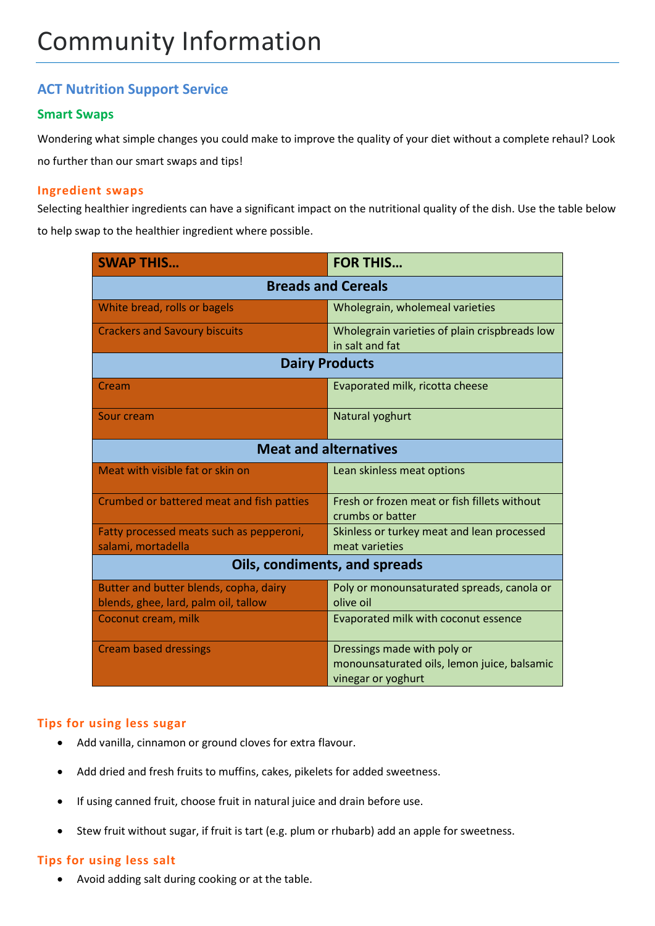## **ACT Nutrition Support Service**

#### **Smart Swaps**

Wondering what simple changes you could make to improve the quality of your diet without a complete rehaul? Look no further than our smart swaps and tips!

#### **Ingredient swaps**

Selecting healthier ingredients can have a significant impact on the nutritional quality of the dish. Use the table below to help swap to the healthier ingredient where possible.

| <b>SWAP THIS</b>                                                               | <b>FOR THIS</b>                                                                                  |  |  |  |
|--------------------------------------------------------------------------------|--------------------------------------------------------------------------------------------------|--|--|--|
| <b>Breads and Cereals</b>                                                      |                                                                                                  |  |  |  |
| White bread, rolls or bagels                                                   | Wholegrain, wholemeal varieties                                                                  |  |  |  |
| <b>Crackers and Savoury biscuits</b>                                           | Wholegrain varieties of plain crispbreads low<br>in salt and fat                                 |  |  |  |
| <b>Dairy Products</b>                                                          |                                                                                                  |  |  |  |
| Cream                                                                          | Evaporated milk, ricotta cheese                                                                  |  |  |  |
| Sour cream                                                                     | Natural yoghurt                                                                                  |  |  |  |
| <b>Meat and alternatives</b>                                                   |                                                                                                  |  |  |  |
| Meat with visible fat or skin on                                               | Lean skinless meat options                                                                       |  |  |  |
| Crumbed or battered meat and fish patties                                      | Fresh or frozen meat or fish fillets without<br>crumbs or batter                                 |  |  |  |
| Fatty processed meats such as pepperoni,<br>salami, mortadella                 | Skinless or turkey meat and lean processed<br>meat varieties                                     |  |  |  |
| <b>Oils, condiments, and spreads</b>                                           |                                                                                                  |  |  |  |
| Butter and butter blends, copha, dairy<br>blends, ghee, lard, palm oil, tallow | Poly or monounsaturated spreads, canola or<br>olive oil                                          |  |  |  |
| Coconut cream, milk                                                            | Evaporated milk with coconut essence                                                             |  |  |  |
| <b>Cream based dressings</b>                                                   | Dressings made with poly or<br>monounsaturated oils, lemon juice, balsamic<br>vinegar or yoghurt |  |  |  |

#### **Tips for using less sugar**

- Add vanilla, cinnamon or ground cloves for extra flavour.
- Add dried and fresh fruits to muffins, cakes, pikelets for added sweetness.
- If using canned fruit, choose fruit in natural juice and drain before use.
- Stew fruit without sugar, if fruit is tart (e.g. plum or rhubarb) add an apple for sweetness.

#### **Tips for using less salt**

Avoid adding salt during cooking or at the table.